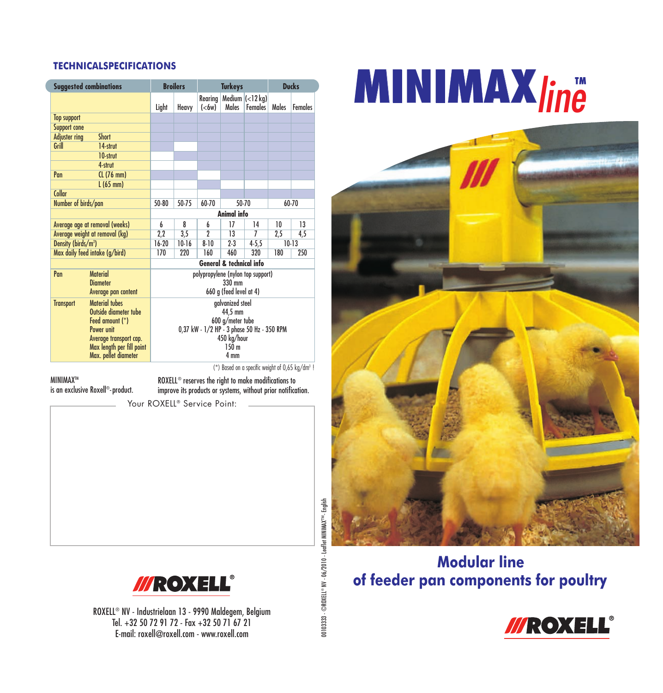### **TECHNICALSPECIFICATIONS**

| <b>Suggested combinations</b>        |           | <b>Broilers</b>                                                           |                              | <b>Turkeys</b> |                                                                  |       | <b>Ducks</b>   |  |
|--------------------------------------|-----------|---------------------------------------------------------------------------|------------------------------|----------------|------------------------------------------------------------------|-------|----------------|--|
|                                      | Light     | Heavy                                                                     | Rearing<br>( <sub>6w</sub> ) | Males          | Medium $\left  \left( < \right  2 \right $ kg)<br><b>Females</b> | Males | <b>Females</b> |  |
| <b>Top support</b>                   |           |                                                                           |                              |                |                                                                  |       |                |  |
| <b>Support cone</b>                  |           |                                                                           |                              |                |                                                                  |       |                |  |
| <b>Adjuster ring</b><br><b>Short</b> |           |                                                                           |                              |                |                                                                  |       |                |  |
| Grill<br>14-strut                    |           |                                                                           |                              |                |                                                                  |       |                |  |
| 10-strut                             |           |                                                                           |                              |                |                                                                  |       |                |  |
| 4-strut                              |           |                                                                           |                              |                |                                                                  |       |                |  |
| CL (76 mm)<br>Pan                    |           |                                                                           |                              |                |                                                                  |       |                |  |
| $L(65$ mm $)$                        |           |                                                                           |                              |                |                                                                  |       |                |  |
| Collar                               |           |                                                                           |                              |                |                                                                  |       |                |  |
| Number of birds/pan                  | $50 - 80$ | $50 - 75$                                                                 | $60 - 70$                    |                | $50 - 70$                                                        |       | 60-70          |  |
|                                      |           | Animal info                                                               |                              |                |                                                                  |       |                |  |
| Average age at removal (weeks)       | 6         | 8                                                                         | 6                            | 17             | 14                                                               | 10    | 13             |  |
| Average weight at removal (kg)       | 2,2       | 3,5                                                                       | 2                            | 13             | 7                                                                | 2,5   | 4,5            |  |
| Density (birds/m <sup>2</sup> )      | $16-20$   | $10-16$<br>$8 - 10$<br>$2-3$<br>$4 - 5.5$<br>$10-13$                      |                              |                |                                                                  |       |                |  |
| Max daily feed intake (g/bird)       | 170       | 220                                                                       | 160                          | 460            | 320                                                              | 180   | 250            |  |
|                                      |           | <b>General &amp; technical info</b>                                       |                              |                |                                                                  |       |                |  |
| <b>Material</b><br>Pan               |           | polypropylene (nylon top support)                                         |                              |                |                                                                  |       |                |  |
| <b>Diameter</b>                      |           | $330$ mm                                                                  |                              |                |                                                                  |       |                |  |
| Average pan content                  |           | 660 g (feed level at 4)                                                   |                              |                |                                                                  |       |                |  |
| Material tubes<br><b>Transport</b>   |           | galvanized steel                                                          |                              |                |                                                                  |       |                |  |
| Outside diameter tube                |           | 44.5 mm<br>600 g/meter tube<br>0,37 kW - 1/2 HP - 3 phase 50 Hz - 350 RPM |                              |                |                                                                  |       |                |  |
| Feed amount (*)                      |           |                                                                           |                              |                |                                                                  |       |                |  |
| Power unit                           |           |                                                                           |                              |                |                                                                  |       |                |  |
| Average transport cap.               |           | 450 kg/hour                                                               |                              |                |                                                                  |       |                |  |
| Max length per fill point            |           | 150 <sub>m</sub>                                                          |                              |                |                                                                  |       |                |  |
| Max. pellet diameter                 |           | 4 mm                                                                      |                              |                |                                                                  |       |                |  |

 $(*)$  Based on a specific weight of 0,65 kg/dm<sup>3</sup> !

**MINIMAXTM** 

is an exclusive Roxell®-product.

ROXELL® reserves the right to make modifications to improve its products or systems, without prior notification.

Your ROXELL® Service Point:



ROXELL® NV - Industrielaan 13 - 9990 Maldegem, Belgium Tel. +32 50 72 91 72 - Fax +32 50 71 67 21 E-mail: roxell@roxell.com - www.roxell.com

**MINIMAX***line*



### **Modular line of feeder pan components for poultry**



00103333 - ©ROXELL 00103333 - ©ROXELL® NV - 06/2010 - Leaflet MININAX™- English NV - 06/2010 - Leaflet MINIMAX™- English